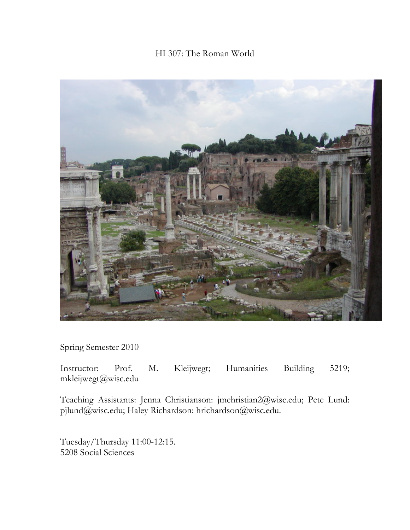# HI 307: The Roman World



Spring Semester 2010

Instructor: Prof. M. Kleijwegt; Humanities Building 5219; mkleijwegt@wisc.edu

Teaching Assistants: Jenna Christianson: jmchristian2@wisc.edu; Pete Lund: pjlund@wisc.edu; Haley Richardson: hrichardson@wisc.edu.

Tuesday/Thursday 11:00-12:15. 5208 Social Sciences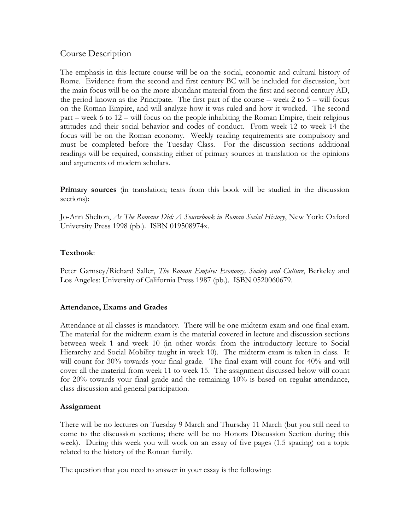# Course Description

The emphasis in this lecture course will be on the social, economic and cultural history of Rome. Evidence from the second and first century BC will be included for discussion, but the main focus will be on the more abundant material from the first and second century AD, the period known as the Principate. The first part of the course – week  $2$  to  $5$  – will focus on the Roman Empire, and will analyze how it was ruled and how it worked. The second part – week 6 to 12 – will focus on the people inhabiting the Roman Empire, their religious attitudes and their social behavior and codes of conduct. From week 12 to week 14 the focus will be on the Roman economy. Weekly reading requirements are compulsory and must be completed before the Tuesday Class. For the discussion sections additional readings will be required, consisting either of primary sources in translation or the opinions and arguments of modern scholars.

**Primary sources** (in translation; texts from this book will be studied in the discussion sections):

Jo-Ann Shelton, *As The Romans Did: A Sourcebook in Roman Social History*, New York: Oxford University Press 1998 (pb.). ISBN 019508974x.

#### **Textbook**:

Peter Garnsey/Richard Saller, *The Roman Empire: Economy, Society and Culture*, Berkeley and Los Angeles: University of California Press 1987 (pb.). ISBN 0520060679.

#### **Attendance, Exams and Grades**

Attendance at all classes is mandatory. There will be one midterm exam and one final exam. The material for the midterm exam is the material covered in lecture and discussion sections between week 1 and week 10 (in other words: from the introductory lecture to Social Hierarchy and Social Mobility taught in week 10). The midterm exam is taken in class. It will count for 30% towards your final grade. The final exam will count for 40% and will cover all the material from week 11 to week 15. The assignment discussed below will count for 20% towards your final grade and the remaining 10% is based on regular attendance, class discussion and general participation.

#### **Assignment**

There will be no lectures on Tuesday 9 March and Thursday 11 March (but you still need to come to the discussion sections; there will be no Honors Discussion Section during this week). During this week you will work on an essay of five pages (1.5 spacing) on a topic related to the history of the Roman family.

The question that you need to answer in your essay is the following: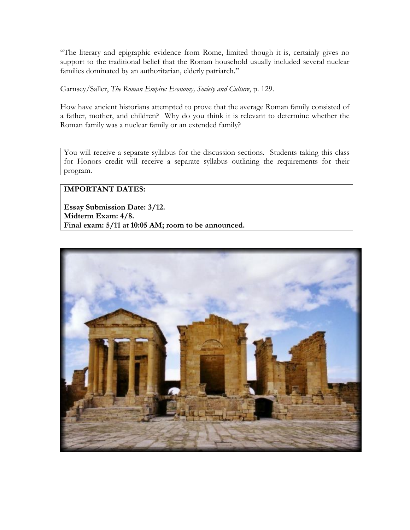"The literary and epigraphic evidence from Rome, limited though it is, certainly gives no support to the traditional belief that the Roman household usually included several nuclear families dominated by an authoritarian, elderly patriarch."

Garnsey/Saller, *The Roman Empire: Economy, Society and Culture*, p. 129.

How have ancient historians attempted to prove that the average Roman family consisted of a father, mother, and children? Why do you think it is relevant to determine whether the Roman family was a nuclear family or an extended family?

You will receive a separate syllabus for the discussion sections. Students taking this class for Honors credit will receive a separate syllabus outlining the requirements for their program.

## **IMPORTANT DATES:**

**Essay Submission Date: 3/12. Midterm Exam: 4/8. Final exam: 5/11 at 10:05 AM; room to be announced.** 

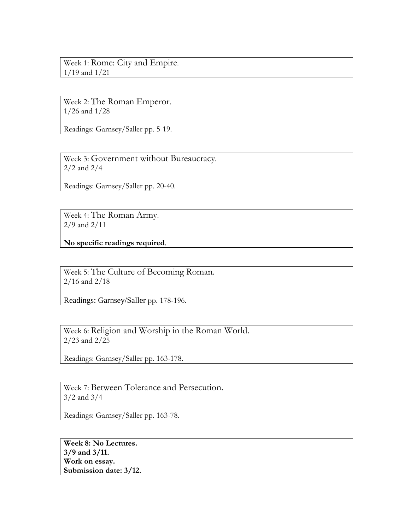Week 1: Rome: City and Empire. 1/19 and 1/21

Week 2: The Roman Emperor. 1/26 and 1/28

Readings: Garnsey/Saller pp. 5-19.

Week 3: Government without Bureaucracy. 2/2 and 2/4

Readings: Garnsey/Saller pp. 20-40.

Week 4: The Roman Army. 2/9 and 2/11

**No specific readings required**.

Week 5: The Culture of Becoming Roman. 2/16 and 2/18

Readings: Garnsey/Saller pp. 178-196.

Week 6: Religion and Worship in the Roman World. 2/23 and 2/25

Readings: Garnsey/Saller pp. 163-178.

Week 7: Between Tolerance and Persecution. 3/2 and 3/4

Readings: Garnsey/Saller pp. 163-78.

**Week 8: No Lectures. 3/9 and 3/11. Work on essay. Submission date: 3/12.**